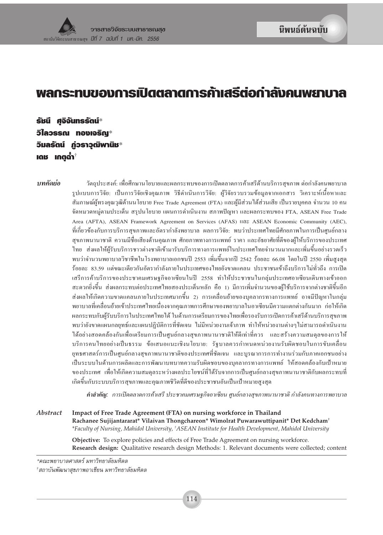# **º≈°√–∑∫¢Õß°"√‡ª¥μ≈"¥°"√§ î "‡ √ â μ'Õ°"≈ à ß§πæ¬"∫"≈ —**

 $\tilde{\textbf{S}}$ มนี ศจิจันทรรัตน์ $^*$  $\bar{D}$ ใลวรรณ ทองเจริณ $^*$  $\bar{z}$ มลรัตน์ ก่วราวุฒิพานิช $^*$  $\mathbf{I}$ ณช $\mathbf{I}$   $\mathbf{I}$   $\mathbf{I}$   $\mathbf{I}$   $\mathbf{I}$   $\mathbf{I}$   $\mathbf{I}$   $\mathbf{I}$   $\mathbf{I}$   $\mathbf{I}$   $\mathbf{I}$ 

 $\bm{v}$ *ทคัดย่อ* วัตถุประสงค์: เพื่อศึกษานโยบายและผลกระทบของการเปิดตลาดการค้าเสรีด้านบริการสุขภาพ ต่อกำลังคนพยาบาล ฐปแบบการวิจัย: เป็นการวิจัยเชิงคุณภาพ วิธีคำเนินการวิจัย: ผู้วิจัยรวบรวมข้อมูลจากเอกสาร วิเคราะห์เนื้อหาและ สัมภาษณ์ผู้ทรงคุณวุฒิด้านนโยบาย Free Trade Agreement (FTA) และผู้มีส่วนใด้ส่วนเสีย เป็นรายบุคคล จำนวน 10 คน จัดหมวดหมู่ตามประเด็น สรุปนโยบาย แผนการดำเนินงาน สภาพปัญหา และผลกระทบของ FTA, ASEAN Free Trade Area (AFTA), ASEAN Framework Agreement on Services (AFAS)  $\text{I1@}$  ASEAN Economic Community (AEC), ี่ที่เกี่ยวข้องกับการบริการสุขภาพและอัตรากำลังพยาบาล ผลการวิจัย: พบว่าประเทศไทยมีศักยภาพในการเป็นศูนย์กลาง สุขภาพนานาชาติ ความมีชื่อเสียงด้านคุณภาพ ศักยภาพทางการแพทย์ ราคา และอัธยาศัยที่ดีของผู้ให้บริการของประเทศ ู้ ไทย ส่งผลให้ผู้รับบริการชาวต่างชาติเข้ามารับบริการทางการแพทย์ในประเทศไทยจำนวนมากและเพิ่มขึ้นอย่างรวดเร็ว พบว่าจำนวนพยาบาลวิชาชีพในโรงพยาบาลเอกชนปี 2553 เพิ่มขึ้นจากปี 2542 ร้อยละ 66.08 โดยในปี 2550 เพิ่มสูงสุด ้ร้อยละ 83.59 แต่ขณะเดียวกันอัตรากำลังภายในประเทศของไทยยังขาดแคลน ประชาชนเข้าถึงบริการไม่ทั่วถึง การเปิด เสรีการค้าบริการของประชาคมเศรษฐกิจอาเซียนในปี 2558 ทำให้ประชาชนในกลุ่มประเทศอาเซียนเดินทางเข้าออก –สะควกยิ่งขึ้น– ส่งผลกระทบต่อประเทศไทยสองประเด็นหลัก–คือ 1) มีการเพิ่มจำนวนของผู้ใช้บริการจากต่างชาติขึ้นอีก ส่งผลให้เกิดความขาดแคลนภายในประเทศมากขึ้น 2) การเคลื่อนย้ายของบุคลากรทางการแพทย์ อาจมีปัญหาในกลุ่ม ึ พยาบาลที่เคลื่อนย้ายเข้าประเทศไทยเนื่องจากคุณภาพการศึกษาของพยาบาลในอาเซียนมีความแตกต่างกันมาก ก่อให้เกิด ผลกระทบกับผู้รับบริการในประเทศไทยได้ ในด้านการเตรียมการของไทยเพื่อรองรับการเปิดการค้าเสรีด้านบริการสุขภาพ พบว่ายังขาดแผนกลยุทธ์และแผนปฏิบัติการที่ชัดเจน ไม่มีหน่วยงานเจ้าภาพ ทำให้หน่วยงานต่างๆ ไม่สามารถดำเนินงาน ์ ได้อย่างสอดคล้องกันเพื่อเตรียมการเป็นศูนย์กลางสุขภาพนานาชาติให้ดีเท่าที่ควร และสร้างความสมดุลของการให้ บริการคนไทยอย่างเป็นธรรม ข้อเสนอแนะเชิงนโยบาย: รัฐบาลควรกำหนดหน่วยงานรับผิดชอบในการขับเคลื่อน ี่ ยุทธศาสตร์การเป็นศูนย์กลางสุขภาพนานาชาติของประเทศที่ชัดเจน และบูรณาการการทำงานร่วมกับภาคเอกชนอย่าง เป็นระบบในด้านการผลิตและการพัฒนาบทบาทความรับผิดชอบของบุคลากรทางการแพทย์ ให้สอดคล้องกับเป้าหมาย ึ ของประเทศ เพื่อให้เกิดความสมดุลระหว่างผลประโยชน์ที่ได้รับจากการเป็นศูนย์กลางสุขภาพนานาชาติกับผลกระทบที่ เกิดขึ้นกับระบบบริการสุขภาพและคุณภาพชิวิตที่ดีของประชาชนอันเป็นเป้าหมายสูงสุด

**คำสำคัญ:** การเปิดตลาดการค้าเสรี ประชาคมเศรษฐกิจอาเซียน ศนย์กลางสขภาพนานาชาติ กำลังคนทางการพยาบาล

*Abstract* **Impact of Free Trade Agreement (FTA) on nursing workforce in Thailand Rachanee Sujijantararat\* Vilaivan Thongchareon\* Wimolrat Puwarawuttipanit\* Det Kedcham†** *\*Faculty of Nursing, Mahidol University, † ASEAN Institute for Health Development, Mahidol University*

**Objective:** To explore policies and effects of Free Trade Agreement on nursing workforce. **Research design:** Qualitative research design Methods: 1. Relevant documents were collected; content

*<sup>\*§≥–</sup>欓∫"≈»" μ√å ¡À"«'∑¬"≈—¬¡À'¥≈*

<sup>&</sup>lt;sup>†</sup>สถาบันพัฒนาสุขภาพอาเชียน มหาวิทยาลัยมหิดล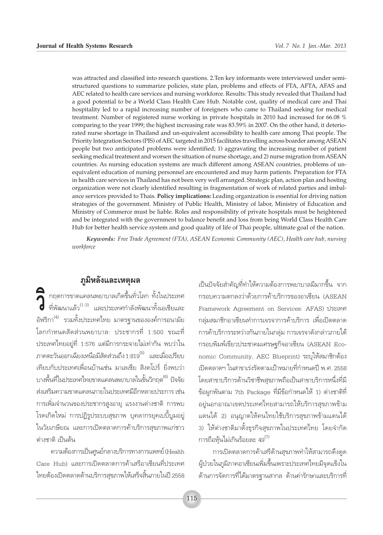was attracted and classified into research questions. 2. Ten key informants were interviewed under semistructured questions to summarize policies, state plan, problems and effects of FTA, AFTA, AFAS and AEC related to health care services and nursing workforce. Results: This study revealed that Thailand had a good potential to be a World Class Health Care Hub. Notable cost, quality of medical care and Thai hospitality led to a rapid increasing number of foreigners who came to Thailand seeking for medical treatment. Number of registered nurse working in private hospitals in 2010 had increased for 66.08 % comparing to the year 1999; the highest increasing rate was 83.59% in 2007. On the other hand, it deteriorated nurse shortage in Thailand and un-equivalent accessibility to health care among Thai people. The Priority Integration Sectors (PIS) of AEC targeted in 2015 facilitates travelling across boarder among ASEAN people but two anticipated problems were identified; 1) aggravating the increasing number of patient seeking medical treatment and worsen the situation of nurse shortage, and 2) nurse migration from ASEAN countries. As nursing education systems are much different among ASEAN countries, problems of unequivalent education of nursing personnel are encountered and may harm patients. Preparation for FTA in health care services in Thailand has not been very well arranged. Strategic plan, action plan and hosting organization were not clearly identified resulting in fragmentation of work of related parties and imbalance services provided to Thais. Policy implications: Leading organization is essential for driving nation strategies of the government. Ministry of Public Health, Ministry of labor, Ministry of Education and Ministry of Commerce must be liable. Roles and responsibility of private hospitals must be heightened and be integrated with the government to balance benefit and loss from being World Class Health Care Hub for better health service system and good quality of life of Thai people, ultimate goal of the nation.

Keywords: Free Trade Agreement (FTA), ASEAN Economic Community (AEC), Health care hub, nursing workforce

#### ภูมิหลังและเหตุผล

คิ กฤตการขาดแคลนพยาบาลเกิดขึ้นทั่วโลก ทั้งในประเทศ<br>- ที่พัฒนาแล้ว<sup>(1-3)</sup> และประเทศกำลังพัฒนาทั้งเอเชียและ อัฟริกา<sup>(4)</sup> รวมทั้งประเทศไทย มาตรจานขององค์การอนามัย โลกกำหนดสัดส่วนพยาบาล: ประชากรที่ 1:500 ขณะที่ ประเทศไทยอยู่ที่ 1:576 แต่มีการกระจายไม่เท่ากัน พบว่าใน .ภาคตะวันออกเฉียงเหนือมีสัดส่วนถึง 1:819<sup>(5)</sup> และเมื่อเปรียบ เทียบกับประเทศเพื่อนบ้านเช่น มาเลเซีย สิงคโปร์ ยิ่งพบว่า บางพื้นที่ในประเทศไทยขาดแคลนพยาบาลในขั้นวิกถต<sup>(6)</sup> ปัจจัย ส่งเสริมความขาดแคลนภายในประเทศมีอีกหลายประการ เช่น การเพิ่มจำนวนของประชากรสูงอายุ แรงงานต่างชาติ การพบ โรคเกิดใหม่ การปฏิรูประบบสุขภาพ บุคลากรยุคเบบี้บูมอยู่ ในวัยเกษียณ และการเปิดตลาดการค้าบริการสขภาพแก่ชาว ต่างชาติ เป็นต้น

ความต้องการเป็นศูนย์กลางบริการทางการแพทย์ (Health Care Hub) และการเปิดตลาดการค้าเสรือาเซียนที่ประเทศ ไทยต้องเปิดตลาดด้านบริการสุขภาพให้เสร็จสิ้นภายในปี 2558 เป็นปัจจัยสำคัญที่ทำให้ความต้องการพยาบาลมีมากขึ้น จาก กรอบความตกลงว่าด้วยการค้าบริการของอาเซียน (ASEAN Framework Agreement on Services: AFAS) ประเทศ กลุ่มสมาชิกอาเซียนทำการเจรจาการค้าบริการ เพื่อเปิดตลาด การค้าบริการระหว่างกันภายในกล่ม การเจรจาดังกล่าวภายใต้ กรอบพิมพ์เขียวประชาคมเศรษฐกิจอาเซียน (ASEAN Economic Community, AEC Blueprint) ระบุให้สมาชิกต้อง เปิดตลาดฯ ในสาขาเร่งรัดตามเป้าหมายที่กำหนดปี พ.ศ. 2558 โดยสาขาบริการด้านวิชาชีพสขภาพถือเป็นสาขาบริการหนึ่งที่มี ข้อผูกพันตาม 7th Package ที่มีข้อกำหนดให้ 1) ต่างชาติที่ อยู่นอกอาณาเขตประเทศไทยสามารถให้บริการสุขภาพข้าม แดนได้ 2) อนุญาตให้คนไทยใช้บริการสุขภาพข้ามแดนได้ 3) ให้ต่างชาติมาตั้งธุรกิจสุขภาพในประเทศไทย โดยจำกัด การถือหุ้นไม่เกินร้อยละ 49<sup>(7)</sup>

การเปิดตลาดการค้าเสรีด้านสุขภาพทำให้สามารถดึงดูด ผู้ป่วยในภูมิภาคอาเซียนเพิ่มขึ้นเพราะประเทศไทยมีจุดแข็งใน ด้านการจัดการที่ได้มาตรฐานสากล ด้านค่ารักษาและบริการที่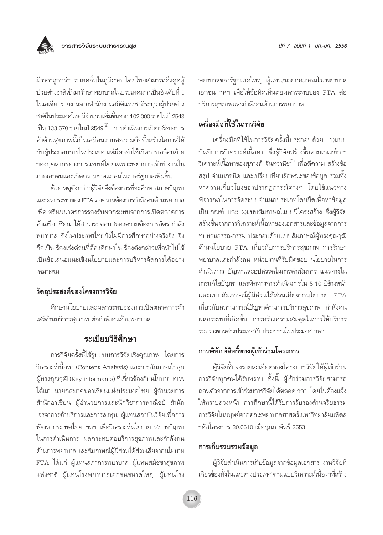

้มีราคาถูกกว่าประเทศอื่นในภูมิภาค โดยไทยสามารถดึงดูดผู้ ป่วยต่างชาติเข้ามารักษาพยาบาลในประเทศมากเป็นอันดับที่ 1 ในเอเชีย รายงานจากสำนักงานสถิติแห่งชาติระบุว่าผู้ป่วยต่าง ชาติในประเทศไทยมีจำนวนเพิ่มขึ้นจาก 102.000 รายในปี 2543 เป็น 133,570 รายในปี 2549<sup>(8)</sup> การดำเนินการเปิดเสรีทางการ ้ค้าด้านสุขภาพนี้เป็นเสมือนดาบสองคมคือทั้งสร้างโอกาสให้ กับผู้ประกอบการในประเทศ แต่มีผลทำให้เกิดการเคลื่อนย้าย ของบุคลากรทางการแพทย์โดยเฉพาะพยาบาลเข้าทำงานใน ภาคเอกชนและเกิดความขาดแคลนในภาครัฐบาลเพิ่มขึ้น

ด้วยเหตุดังกล่าวผู้วิจัยจึงต้องการที่จะศึกษาสภาพปัญหา และผลกระทบของ FTA ต่อความต้องการกำลังคนด้านพยาบาล เพื่อเตรียมมาตรการรองรับผลกระทบจากการเปิดตลาดการ ้ค้าเสรีอาเซียน ให้สามารถตอบสนองความต้องการอัตรากำลัง ้พยาบาล ซึ่งในประเทศไทยยังไม่มีการศึกษาอย่างจริงจัง จึง ถือเป็นเรื่องเร่งด่วนที่ต้องศึกษาในเรื่องดังกล่าวเพื่อนำไปใช้ เป็นข้อเสนอแนะเชิงนโยบายและการบริหารจัดการได้อย่าง เหมาะสม

### วัตถุประสงค์ของโครงการวิจัย

้ศึกษานโยบายและผลกระทบของการเปิดตลาดการค้า เสรีด้านบริการสุขภาพ ต่อกำลังคนด้านพยาบาล

### ระเบียบวิธีศึกษา

การวิจัยครั้งนี้ใช้รูปแบบการวิจัยเชิงคุณภาพ โดยการ วิเคราะห์เนื้อหา (Content Analysis) และการสัมภาษณ์กลุ่ม ผู้ทรงคุณวุฒิ (Key informants) ที่เกี่ยวข้องกับนโยบาย FTA ได้แก่ นายกสมาคมอาเซียนแห่งประเทศไทย ผู้อำนวยการ สำนักอาเซียน ผู้อำนวยการและนักวิชาการพาณิชย์ สำนัก เจรจาการค้าบริการและการลงทุน ผู้แทนสถาบันวิจัยเพื่อการ ้พัฒนาประเทศไทย ฯลฯ เพื่อวิเคราะห์นโยบาย สภาพปัญหา ในการดำเนินการ ผลกระทบต่อบริการสุขภาพและกำลังคน ด้านการพยาบาล และสัมภาษณ์ผู้มีส่วนได้ส่วนเสียจากนโยบาย FTA ได้แก่ ผู้แทนสภาการพยาบาล ผู้แทนสมัชชาสุขภาพ แห่งชาติ ผู้แทนโรงพยาบาลเอกชนขนาดใหญ่ ผู้แทนโรง

้พยาบาลของรัฐขนาดใหญ่ ผู้แทน/นายกสมาคมโรงพยาบาล เอกชน ฯลฯ เพื่อให้ข้อคิดเห็นต่อผลกระทบของ FTA ต่อ บริการสขภาพและกำลังคนด้านการพยาบาล

### เครื่องมือที่ใช้ในการวิจัย

เครื่องมือที่ใช้ในการวิจัยครั้งนี้ประกอบด้วย 1)แบบ ้บันทึกการวิเคราะห์เนื้อหา ซึ่งผู้วิจัยสร้างขึ้นตามเกณฑ์การ ้วิเคราะห์เนื้อหาของสุภางค์ จันทวานิช<sup>(9)</sup> เพื่อตีความ สร้างข้อ สรุป จำแนกชนิด และเปรียบเทียบลักษณะของข้อมูล รวมทั้ง หาความเกี่ยวโยงของปรากฏการณ์ต่างๆ โดยใช้แนวทาง พิจารณาในการจัดระบบจำแนกประเภทโดยยึดเนื้อหาข้อมูล เป็นเกณฑ์ และ 2)แบบสัมภาษณ์แบบมีโครงสร้าง ซึ่งผู้วิจัย สร้างขึ้นจากการวิเคราะห์เนื้อหาของเอกสารและข้อมูลจากการ ทบทวนวรรณกรรม ประกอบด้วยแบบสัมภาษณ์ผู้ทรงคุณวุฒิ ด้านนโยบาย FTA เกี่ยวกับการบริการสุขภาพ การรักษา พยาบาลและกำลังคน หน่วยงานที่รับผิดชอบ นโยบายในการ ดำเนินการ ปัญหาและอุปสรรคในการดำเนินการ แนวทางใน การแก้ไขปัญหา และทิศทางการดำเนินการใน 5-10 ปีข้างหน้า และแบบสัมภาษณ์ผู้มีส่วนได้ส่วนเสียจากนโยบาย FTA เกี่ยวกับสถานการณ์ปัญหาด้านการบริการสุขภาพ กำลังคน ้ผลกระทบที่เกิดขึ้น การสร้างความสมดุลในการให้บริการ ระหว่างชาวต่างบระเทศกับประชาชนในประเทศ ฯลฯ

### การพิทักษ์สิทธิ์ของผู้เข้าร่วมโครงการ

ผู้วิจัยชี้แจงรายละเอียดของโครงการวิจัยให้ผู้เข้าร่วม การวิจัยทุกคนได้รับทราบ ทั้งนี้ ผู้เข้าร่วมการวิจัยสามารถ ถอนตัวจากการเข้าร่วมการวิจัยได้ตลอดเวลา โดยไม่ต้องแจ้ง ให้ทราบล่วงหน้า การศึกษานี้ได้รับการรับรองด้านจริยธรรม การวิจัยในมนุษย์จากคณะพยาบาลศาสตร์ มหาวิทยาลัยมหิดล รหัสโครงการ 30.0610 เมื่อกุมภาพันธ์ 2553

### การเก็บรวบรวมข้อมูล

ผู้วิจัยดำเนินการเก็บข้อมูลจากข้อมูลเอกสาร งานวิจัยที่ เกี่ยวข้องทั้งในและต่างประเทศ ตามแบบวิเคราะห์เนื้อหาที่สร้าง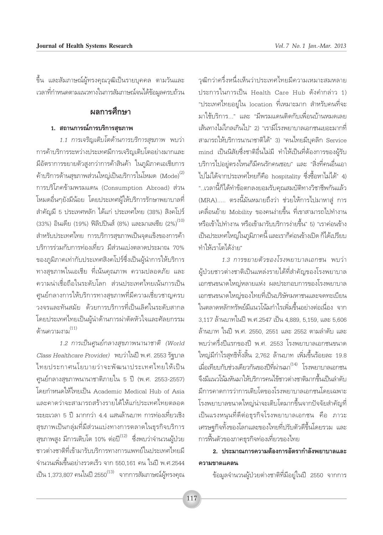ู้ขึ้น และสัมภาษณ์ผู้ทรงคุณวุฒิเป็นรายบุคคล ตามวันและ ี เวลาที่กำหนดตามแนวทางในการสัมภาษณ์จนได้ข้อมูลครบถ้วน

### **้ผลการศึกษา**

#### <u>1. สถานการณ์การบริการสุขภาพ</u>

*1.1 การเจริญเติบโตด้านการบริการสุขภาพ* พบว่า การค้าบริการระหว่างประเทศมีการเจริญเติบโตอย่างมากและ มีอัตราการขยายตัวสูงกว่าการค้าสินค้า ในภูมิภาคเอเชียการ  $\hat{\phi}$ าบริการด้านสุขภาพส่วนใหญ่เป็นบริการในโหมด (Mode) $^{(2)}$ การบริโภคข้ามพรมแดน (Consumption Abroad) ส่วน โหมดอื่นๆยังมีน้อย โดยประเทศผู้ให้บริการรักษาพยาบาลที่ สำคัญมี 5 ประเทศหลัก ได้แก่ ประเทศไทย (38%) สิงคโปร์ (33%) อินเดีย (19%) ฟิลิปปินส์ (8%) และมาเลเซีย (2%) $^{(10)}$ สำหรับประเทศไทย การบริการสขภาพเป็นจดแข็งของการค้า ∫√'°"√√à«¡°—∫°"√∑àÕ߇∑'ˬ« ¡' à«π·∫àßμ≈"¥ª√–¡"≥ 70% ของภูมิภาคเท่ากับประเทศสิงคโปร์ซึ่งเป็นผู้นำการให้บริการ ทางสุขภาพในเอเชีย ที่เน้นคุณภาพ ความปลอดภัย และ ้<br>ความน่าเชื่อถือในระดับโลก ส่วนประเทศไทยเน้นการเป็น ้ศูนย์กลางการให้บริการทางสุขภาพที่มีความเชี่ยวชาญครบ ้วงจรและทันสมัย ด้วยการบริการที่เป็นเลิศในระดับสากล โดยประเทศไทยเป็นผู้นำด้านการผ่าตัดหัวใจและศัลยกรรม  $\delta$ านความงาม $^{(11)}$ 

*1.2 การเป็นศูนย์กลางสุขภาพนานาชาติ (World*  $\emph{Class Healthcare Provider}$ ) พบว่าในปี พ.ศ. 2553 รัฐบาล ไทยประกาศนโยบายว่าจะพัฒนาประเทศไทยให้เป็น ศูนย์กลางสุขภาพนานาชาติภายใน 5 ปี (พ.ศ. 2553-2557) โดยกำหนดให้ไทยเป็น Academic Medical Hub of Asia ้และคาดว่าจะสามารถสร้างรายได้ให้แก่ประเทศไทยตลอด ระยะเวลา 5 ปี มากกว่า 4.4 แสนล้านบาท การท่องเที่่ยวเชิง ์ สุขภาพเป็นกลุ่มที่มีส่วนแบ่งทางการตลาดในธุรกิจบริการ สุขภาพสูง มีการเติบโต 10% ต่อปี $^{(12)}$  ซึ่งพบว่าจำนวนผู้ป่วย ชาวต่างชาติที่เข้ามารับบริการทางการแพทย์ในประเทศไทยมี จำนวนเพิ่มขึ้นอย่างรวดเร็ว จาก 550,161 คน ในปี พ.ศ.2544  $\tilde{\mathfrak{t}}$ ป็น 1,373,807 คนในปี 2550 $^{(13)}$  จากการสัมภาษณ์ผู้ทรงคุณ

วฒิกว่าครึ่งหนึ่งเห็นว่าประเทศไทยมีความเหมาะสมหลาย ประการในการเป็น Health Care Hub ดังคำกล่าว 1) "ประเทศไทยอยู่ใน location ที่เหมาะมาก สำหรับคนที่จะ มาใช้บริการ..." และ "มีพรมแดนติดกับเพื่อนบ้านหมดเลย เส้นทางไม่ไกลเกินไป" 2) "เรามีโรงพยาบาลเอกชนเยอะมากที่ สามารถให้บริการนานาชาติได้" 3) "คนไทยมีบุคลิก Service mind เป็นนิสัยซึ่งชาติอื่นไม่มี ทำให้เป็นที่ต้องการของผ้รับ ับริการไปอยู่ตรงไหนก็มืคนรักคนชอบ" และ "สิ่งที่คนอื่นเอา ้ไปไม่ได้จากประเทศไทยก็คือ hospitality ซึ่งซื้อหาไม่ได้" 4) "..เวลานี้ก็ได้ทำข้อตกลงยอมรับคุณสมบัติทางวิชาชีพกันแล้ว (MRA)..... ตรงนี้มันหมายถึงว่า ช่วยให้การไปมาหาสู่ การ เคลื่อนย้าย Mobility ของคนง่ายขึ้น ที่เขาสามารถไปทำงาน หรือเข้าไปทำงาน หรือเข้ามารับบริการง่ายขึ้น" 5) "เราค่อนข้าง เป็นประเทศใหญ่ในภูมิภาคนี้ และเราก็ค่อนข้างเปิด ก็ได้เปรียบ ทำให้เราโตได้ง่าย"

*1.3 การขยายตัวของโรงพยาบาลเอกชน* พบว่า ผู้ป่วยชาวต่างชาติเป็นแหล่งรายได้ที่สำคัญของโรงพยาบาล เอกชนขนาดใหญ่หลายแห่ง ผลประกอบการของโรงพยาบาล เอกชนขนาดใหญ่ของไทยที่เป็นบริษัทมหาชนและจดทะเบียน ในตลาดหลักทรัพย์มีแนวโน้มกำไรเพิ่มขึ้นอย่างต่อเนื่อง จาก 3,117 ล้านบาทในปี พ.ศ.2547 เป็น 4,889, 5,159, และ 5,606 ู้ล้านบาท ในปี พ.ศ. 2550, 2551 และ 2552 ตามลำดับ และ พบว่าครึ่งปีแรกของปี พ.ศ. 2553 โรงพยาบาลเอกชนขนาด ใหญ่มีกำไรสุทธิทั้งสิ้น 2,762 ล้านบาท เพิ่มขึ้นร้อยละ 19.8 ี่เมื่อเทียบกับช่วงเดียวกันของปีที่ผ่านมา<sup>(14)</sup> โรงพยาบาลเอกชน ้จึงมีแนวโน้มหันมาให้บริการคนไข้ชาวต่างชาติมากขึ้นเป็นลำดับ มีการคาดการว่าการเติบโตของโรงพยาบาลเอกชนโดยเฉพาะ ์ โรงพยาบาลขนาดใหญ่น่าจะเติบโตมากขึ้นจากปัจจัยสำคัญที่ ู้เป็นแรงหนุนที่ดีต่อธุรกิจโรงพยาบาลเอกชน คือ ภาวะ เศรษฐกิจทั้งของโลกและของไทยที่ปรับตัวดีขึ้นโดยรวม และ ิการฟื้นตัวของภาคธุรกิจท่องเที่ยวของไทย

### <u>2. ประมาณการความต้องการอัตรากำลังพยาบาลและ</u> **§«"¡¢"¥·§≈π**

์ ข้อมูลจำนวนผู้ป่วยต่างชาติที่มีอยู่ในปี 2550 จากการ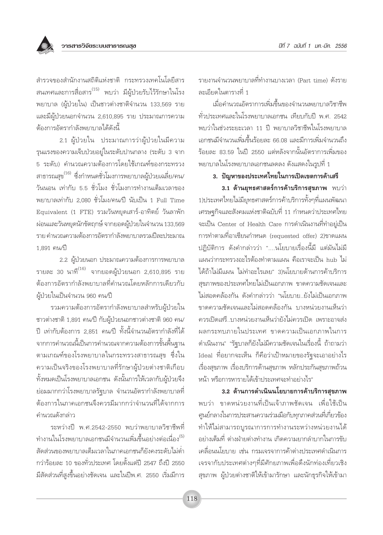

สำรวจของสำนักงานสถิติแห่งชาติ กระทรวงเทคโนโลยีสาร สนเทศและการสื่อสาร<sup>(15)</sup> พบว่า มีผู้ป่วยรับไว้รักษาในโรง พยาบาล (ผู้ป่วยใน) เป็นชาวต่างชาติจำนวน 133,569 ราย และมีผู้ป่วยนอกจำนวน 2,610,895 ราย ประมาณการความ ต้องการอัตรากำลังพยาบาลได้ดังนี้

2.1 ผู้ป่วยใน ประมาณการว่าผู้ป่วยในมีความ รุนแรงของความเจ็บป่วยอยู่ในระดับปานกลาง (ระดับ 3 จาก 5 ระดับ) คำนวณความต้องการโดยใช้เกณฑ์ของกระทรวง สาธารณสุข<sup>(16)</sup> ซึ่งกำหนดชั่วโมงการพยาบาลผู้ป่วยเฉลี่ย/คน/ วันนอน เท่ากับ 5.5 ชั่วโมง ชั่วโมงการทำงานเต็มเวลาของ พยาบาลเท่ากับ 2.080 ชั่วโมง/คน/ปี นับเป็น 1 Full Time Equivalent (1 FTE) รวมวันหยุดเสาร์-อาทิตย์ วันลาพัก ผ่อนและวันหยุดนักขัตฤกษ์ จากยอดผู้ป่วยในจำนวน 133,569 ราย คำนวณความต้องการอัตรากำลังพยาบาลรวมปีละประมาณ 1.891 คน/ปี

2.2 ผู้ป่วยนอก ประมาณความต้องการการพยาบาล รายละ 30 นาที<sup>(16)</sup> จากยอดผู้ป่วยนอก 2,610,895 ราย ต้องการอัตรากำลังพยาบาลที่คำนวณโดยหลักการเดียวกับ ผ้ป่วยในเป็นจำนวน 960 คน/ปี

รวมความต้องการอัตรากำลังพยาบาลสำหรับผู้ป่วยใน ชาวต่างชาติ 1,891 คน/ปี กับผู้ป่วยนอกชาวต่างชาติ 960 คน/ ปี เท่ากับต้องการ 2,851 คน/ปี ทั้งนี้จำนวนอัตรากำลังที่ได้ จากการคำนวณนี้เป็นการคำนวณจากความต้องการขั้นพื้นฐาน ิตามเกณฑ์ของโรงพยาบาลในกระทรวงสาธารณสุข ซึ่งใน ความเป็นจริงของโรงพยาบาลที่รักษาผู้ป่วยต่างชาติเกือบ ้ทั้งหมดเป็นโรงพยาบาลเอกชน ดังนั้นการให้เวลากับผู้ป่วยจึง ย่อมมากกว่าโรงพยาบาลรัฐบาล จำนวนอัตรากำลังพยาบาลที่ ต้องการในภาคเอกชนจึงควรมีมากกว่าจำนวนที่ได้จากการ คำนวณดังกล่าว

ระหว่างปี พ.ศ.2542-2550 พบว่าพยาบาลวิชาชีพที่ ทำงานในโรงพยาบาลเอกชนมีจำนวนเพิ่มขึ้นอย่างต่อเนื่อง<sup>(5)</sup> สัดส่วนของพยาบาลเต็มเวลาในภาคเอกชนก็ยังคงระดับไม่ต่ำ กว่าร้อยละ 10 ของทั่วประเทศ โดยตั้งแต่ปี 2547 ถึงปี 2550 ้มีสัดส่วนที่สูงขึ้นอย่างชัดเจน และในปีพ.ศ. 2550 เริ่มมีการ รายงานจำนวนพยาบาลที่ทำงานบางเวลา (Part time) ดังราย ละเอียดในตารางที่ 1

เมื่อคำนวณอัตราการเพิ่มขึ้นของจำนวนพยาบาลวิชาชีพ ู้ทั่วประเทศและในโรงพยาบาลเอกชน เทียบกับปี พ.ศ. 2542 พบว่าในช่วงระยะเวลา 11 ปี พยาบาลวิชาชีพในโรงพยาบาล เอกชนมีจำนวนเพิ่มขึ้นร้อยละ 66.08 และมีการเพิ่มจำนวนถึง ์ ร้อยละ 83.59 ในปี 2550 แต่หลังจากนั้นอัตราการเพิ่มของ ้พยาบาลในโรงพยาบาลเอกชนลดลง ดังแสดงในรูปที่ 1

3. ปัญหาของประเทศไทยในการเปิดเขตการค้าเสรี

3.1 ด้านยุทธศาสตร์การค้าบริการสุขภาพ พบว่า 1)ประเทศไทยไม่มียุทธศาสตร์การค้าบริการทั้งๆที่แผนพัฒนา เศรษฐกิจและสังคมแห่งชาติฉบับที่ 11 กำหนดว่าประเทศไทย จะเป็น Center of Health Care การดำเนินงานที่ทำอยู่เป็น การทำตามที่อาเซียนกำหนด (requested offer) 2)ขาดแผน ปฏิบัติการ ดังคำกล่าวว่า "....นโยบายเรื่องนี้มี แต่มันไม่มี แผนว่ากระทรวงอะไรต้องทำตามแผน คือเราจะเป็น hub ไม่ ได้ถ้าไม่มีแผน ไม่ทำอะไรเลย" 3)นโยบายด้านการค้าบริการ สุขภาพของประเทศไทยไม่เป็นเอกภาพ ขาดความชัดเจนและ ไม่สอดคล้องกัน ดังคำกล่าวว่า "นโยบาย..ยังไม่เป็นเอกภาพ ขาดความชัดเจนและไม่สอดคล้องกัน บางหน่วยงานเห็นว่า ควรเปิดเสรี บางหน่วยงานเห็นว่ายังไม่ควรเปิด เพราะอาจส่ง ผลกระทบภายในประเทศ ขาดความเป็นเอกภาพในการ ดำเนินงาน" "รัฐบาลก็ยังไม่มีความชัดเจนในเรื่องนี้ ถ้าถามว่า Ideal ที่อยากจะเห็น ก็คือว่าเป้าหมายของรัฐจะเอาอย่างไร เรื่องสุขภาพ เรื่องบริการด้านสุขภาพ หลักประกันสุขภาพถ้วน หน้า หรือการหารายได้เข้าประเทศจะทำอย่างไร"

3.2 ด้านการดำเนินนโยบายการค้าบริการสุขภาพ ้พบว่า ขาดหน่วยงานที่เป็นเจ้าภาพชัดเจน เพื่อใช้เป็น ศูนย์กลางในการประสานความร่วมมือกับทุกภาคส่วนที่เกี่ยวข้อง ทำให้ไม่สามารถบูรณาการการทำงานระหว่างหน่วยงานได้ ้อย่างเต็มที่ ต่างฝ่ายต่างทำงาน เกิดความยากลำบากในการขับ เคลื่อนนโยบาย เช่น กรมเจรจาการค้าต่างประเทศดำเนินการ เจรจากับประเทศต่างๆที่มีศักยภาพเพื่อดึงนักท่องเที่ยวเชิง สุขภาพ ผู้ป่วยต่างชาติให้เข้ามารักษา และนักธุรกิจให้เข้ามา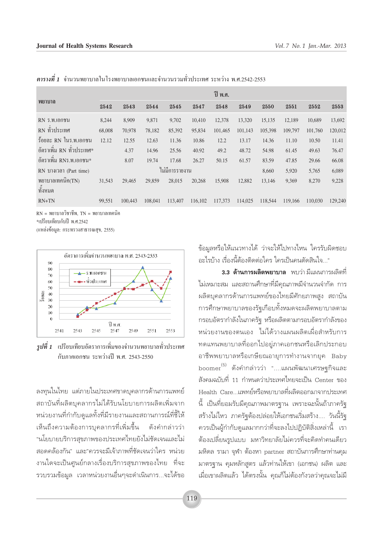| พยาบาล                      | ปี พ.ศ.        |         |         |         |         |         |         |         |         |         |         |
|-----------------------------|----------------|---------|---------|---------|---------|---------|---------|---------|---------|---------|---------|
|                             | 2542           | 2543    | 2544    | 2545    | 2547    | 2548    | 2549    | 2550    | 2551    | 2552    | 2553    |
| $RN5$ .W.IONVH              | 8,244          | 8,909   | 9,871   | 9,702   | 10,410  | 12,378  | 13,320  | 15,135  | 12,189  | 10,689  | 13,692  |
| RN ทั่วประเทศ               | 68,008         | 70,978  | 78,182  | 85,392  | 95,834  | 101,465 | 101,143 | 105,398 | 109,797 | 101,760 | 120,012 |
| ร้อยละ RN ในร.พ.เอกชน       | 12.12          | 12.55   | 12.63   | 11.36   | 10.86   | 12.2    | 13.17   | 14.36   | 11.10   | 10.50   | 11.41   |
| อัตราเพิ่ม RN ทั่วประเทศ*   |                | 4.37    | 14.96   | 25.56   | 40.92   | 49.2    | 48.72   | 54.98   | 61.45   | 49.63   | 76.47   |
| อัตราเพิ่ม RNร.พ.เอกชน*     |                | 8.07    | 19.74   | 17.68   | 26.27   | 50.15   | 61.57   | 83.59   | 47.85   | 29.66   | 66.08   |
| RN บางเวลา (Part time)      | ไม่มีการรายงาน |         |         |         |         |         |         | 8,660   | 5,920   | 5,765   | 6,089   |
| พยาบาลเทคนิค(TN)<br>ทั้งหมด | 31,543         | 29,465  | 29,859  | 28,015  | 20,268  | 15,908  | 12,882  | 13,146  | 9,369   | 8,270   | 9,228   |
| $RN+TN$                     | 99,551         | 100,443 | 108,041 | 113,407 | 116,102 | 117,373 | 114,025 | 118,544 | 119,166 | 110,030 | 129,240 |

 $\bm{\eta}$ ารางที่ 1 จำนวนพยาบาลในโรงพยาบาลเอกชนและจำนวนรวมทั่วประเทศ ระหว่าง พ.ศ.2542-2553

 $RN = W$ ยาบาลวิชาชีพ. TN = พยาบาลเทคนิค \*เปรียบเทียบกับปี พ.ศ.2542

(แหล่งข้อมูล: กระทรวงสาธารณสุข, 2555)



*รูปที่ 1* เปรียบเทียบอัตราการเพิ่มของจำนวนพยาบาลทั่วประเทศ กับภาคเอกชน ระหว่างปี พ.ศ. 2543-2550

ิลงทุนในไทย แต่ภายในประเทศขาดบุคลากรด้านการแพทย์ สถาบันที่ผลิตบุคลากรไม่ได้รับนโยบายการผลิตเพิ่มจาก หน่วยงานที่กำกับดูแลทั้งที่มีรายงานและสถานการณ์ที่ชี้ให้ เห็นถึงความต้องการบุคลากรที่เพิ่มขึ้น ดังคำกล่าวว่า "นโยบายบริการสุขภาพของประเทศไทยยังไม่ชัดเจนและไม่ สอดคล้องกัน" และ"ควรจะมีเจ้าภาพที่ชัดเจนว่าใคร หน่วย งานใดจะเป็นศูนย์กลางเรื่องบริการสุขภาพของไทย ที่จะ รวบรวมข้อมูล เวลาหน่วยงานอื่นๆจะดำเนินการ...จะได้ขอ ข้อมลหรือให้แนวทางได้ ว่าจะให้ไปทางไหน ใครรับผิดชอบ ้อะไรบ้าง เรื่องนี้ต้องติดต่อใคร ใครเป็นคนตัดสินใจ "

**3.3 ด้านการผลิตพยาบาล** พบว่า*มี*แผนการผลิตที่ ไม่เหมาะสม และสถานศึกษาที่มีคุณภาพมีจำนวนจำกัด การ ผลิตบุคลากรด้านการแพทย์ของไทยมีศักยภาพสูง สถาบัน การศึกษาพยาบาลของรัฐเกือบทั้งหมดจะผลิตพยาบาลตาม กรอบอัตรากำลังในภาครัฐ หรือผลิตตามกรอบอัตรากำลังของ หน่วยงานของตนเอง ไม่ได้วางแผนผลิตเผื่อสำหรับการ ทดแทนพยาบาลที่ออกไปอยู่ภาคเอกชนหรือเลิกประกอบ อาชีพพยาบาลหรือเกษียณอายุการทำงานจากยุค Baby boomer <sup>(5)</sup> ดังคำกล่าวว่า "....แผนพัฒนาเศรษฐกิจและ ้สังคมฉบับที่ 11 กำหนดว่าประเทศไทยจะเป็น Center ของ Health Care…แพทย์หรือพยาบาลที่ผลิตออกมาจากประเทศ ์นี้ เป็นที่ยอมรับมีคุณภาพมาตรฐาน เพราะฉะนั้นถ้าภาครัฐ สร้างไม่ไหว ภาครัฐต้องปล่อยให้เอกชนเริ่มสร้าง.... วันนี้รัฐ ้ควรเป็นผู้กำกับดูแลมากกว่าที่จะลงไปปฏิบัติสิ่งเหล่านี้ เรา ้ต้องเปลี่ยนรูปแบบ มหาวิทยาลัยไม่ควรที่จะคิดทำคนเดียว มหิดล รามา จุฬา ต้องหา partner สถาบันการศึกษาท่านคุม มาตรฐาน คุมหลักสูตร แล้วท่านให้เขา (เอกชน) ผลิต และ เมื่อเขาผลิตแล้ว ได้ตรงนั้น คุณก็ไม่ต้องกังวลว่าคุณจะไม่มี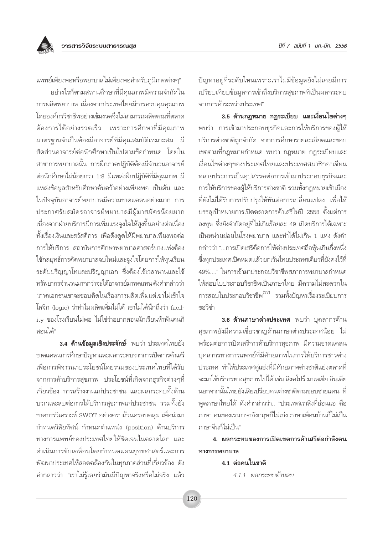แพทย์เพียงพอหรือพยาบาลไม่เพียงพอสำหรับภูมิภาคต่างๆ"

้อย่างไรก็ตามสถานศึกษาที่มีคุณภาพมีความจำกัดใน ้การผลิตพยาบาล เนื่องจากประเทศไทยมีการควบคมคณภาพ โดยองค์กรวิชาชีพอย่างเข้มงวดจึงไม่สามารถผลิตตามที่ตลาด ต้องการได้อย่างรวดเร็ว เพราะการศึกษาที่มีคุณภาพ มาตรฐานจำเป็นต้องมีอาจารย์ที่มีคุณสมบัติเหมาะสม มี สัดส่วนอาจารย์ต่อนักศึกษาเป็นไปตามข้อกำหนด โดยใน สาขาการพยาบาลนั้น การฝึกภาคปภิบัติต้องมีจำนวนอาจารย์ ต่อนักศึกษาไม่น้อยกว่า 1:8 มีแหล่งฝึกปฏิบัติที่มีคุณภาพ มี แหล่งข้อมูลสำหรับศึกษาค้นคว้าอย่างเพียงพอ เป็นต้น และ ในปัจจุบันอาจารย์พยาบาลมีความขาดแคลนอย่างมาก การ ประกาศรับสมัครอาจารย์พยาบาลมีผู้มาสมัครน้อยมาก เนื่องจากฝ่ายบริการมีการเพิ่มแรงจูงใจให้สูงขึ้นอย่างต่อเนื่อง ้ทั้งเรื่องเงินและสวัสดิการ เพื่อดึงดูดให้มีพยาบาลเพียงพอต่อ การให้บริการ สถาบันการศึกษาพยาบาลศาสตร์บางแห่งต้อง ใช้กลยุทธ์การคัดพยาบาลจบใหม่และจูงใจโดยการให้ทุนเรียน ระดับปริญญาโทและปริญญาเอก ซึ่งต้องใช้เวลานานและใช้ ทรัพยากรจำนวนมากกว่าจะได้อาจารย์มาทดแทน ดังคำกล่าวว่า "ภาคเอกชนเขาจะชอบคิดในเรื่องการผลิตเพิ่มแต่เขาไม่เข้าใจ โลจิก (logic) ว่าทำไมผลิตเพิ่มไม่ได้ เขาไม่ได้นึกถึงว่า facilitv ของโรงเรียนไม่พอ ไม่ใช่ว่าอยากสอนนักเรียนห้าพันคนก็ สอนได้"

3.4 ด้านข้อมูลเชิงประจักษ์ พบว่า ประเทศไทยยัง ขาดแคลนการศึกษาปัญหาและผลกระทบจากการเปิดการค้าเสรี เพื่อการพิจารณาประโยชน์โดยรวมของประเทศไทยที่ได้รับ จากการค้าบริการสุขภาพ ประโยชน์ที่เกิดจากธุรกิจต่างๆที่ เกี่ยวข้อง การสร้างงานแก่ประชาชน และผลกระทบทั้งด้าน บวกและลบต่อการให้บริการสุขภาพแก่ประชาชน รวมทั้งยัง ขาดการวิเคราะห์ SWOT อย่างครบถ้วนครอบคลุม เพื่อนำมา กำหนดวิสัยทัศน์ กำหนดตำแหน่ง (position) ด้านบริการ ทางการแพทย์ของประเทศไทยให้ชัดเจนในตลาดโลก และ ดำเนินการขับเคลื่อนโดยกำหนดแผนยุทธศาสตร์และการ ้พัฒนาประเทศให้สอดคล้องกันในทุกภาคส่วนที่เกี่ยวข้อง ดัง ้คำกล่าวว่า "เราไม่รู้เลยว่ามันมีปัญหาจริงหรือไม่จริง แล้ว ้ปัญหาอยู่ที่ระดับไหนเพราะเราไม่มีข้อมูลยังไม่เคยมีการ เปรียบเทียบข้อมูลการเข้าถึงบริการสุขภาพที่เป็นผลกระทบ จากการค้าระหว่างบระเทศ"

3.5 ด้านกฎหมาย กฎระเบียบ และเงื่อนไขต่างๆ พบว่า การเข้ามาประกอบธุรกิจและการให้บริการของผู้ให้ บริการต่างชาติถูกจำกัด จากการศึกษารายละเอียดและขอบ เขตตามที่กฎหมายกำหนด พบว่า กฎหมาย กฎระเบียบและ เงื่อนไขต่างๆของประเทศไทยและประเทศสมาชิกอาเซียน หลายประการเป็นอุปสรรคต่อการเข้ามาประกอบธุรกิจและ การให้บริการของผู้ให้บริการต่างชาติ รวมทั้งกฎหมายเข้าเมือง ์ที่ยังไม่ได้รับการปรับปรุงให้ทันต่อการเปลี่ยนแปลง เพื่อให้ ้บรรลุเป้าหมายการเปิดตลาดการค้าเสรีในปี 2558 ตั้งแต่การ ิลงทุน ซึ่งยังจำกัดอยู่ที่ไม่เกินร้อยละ 49 เปิดบริการได้เฉพาะ เป็นหน่วยย่อยในโรงพยาบาล และทำได้ไม่เกิน 1 แห่ง ดังคำ กล่าวว่า "...การเปิดเสรีคือการให้ต่างประเทศถือหุ้นเกินกึ่งหนึ่ง ซึ่งทุกประเทศเปิดหมดแล้วยกเว้นไทยประเทศเดียวที่ยังคงไว้ที่ 49%...." ในการเข้ามาประกอบวิชาชีพสภาการพยาบาลกำหนด ให้สอบใบประกอบวิชาชีพเป็นภาษาไทย มีความไม่สะดวกใน การสอบใบประกอบวิชาชีพ<sup>(17)</sup> รวมทั้งปัญหาเรื่องระเบียบการ ขอวี่ต่า

3.6 ด้านภาษาต่างประเทศ พบว่า บุคลากรด้าน สุขภาพยังมีความเชี่ยวชาญด้านภาษาต่างประเทศน้อย ไม่ ้พร้อมต่อการเปิดเสรีการค้าบริการสุขภาพ มีความขาดแคลน บุคลากรทางการแพทย์ที่มีศักยภาพในการให้บริการชาวต่าง ประเทศ ทำให้ประเทศคู่แข่งที่มีศักยภาพต่างชาติแย่งตลาดที่ จะมาใช้บริการทางสุขภาพไปได้ เช่น สิงคโปร์ มาเลเซีย อินเดีย นอกจากนั้นไทยยังเสียเปรียบคนต่างชาติตามขอบชายแดน ที่ ้พูดภาษาไทยได้ ดังคำกล่าวว่า.. "ประเทศเราสิ่งที่อ่อนแอ คือ ภาษา คนของเราภาษาอังกฤษก็ไม่เก่ง ภาษาเพื่อนบ้านก็ไม่เป็น ภาษาจีนก็ไม่เป็น"

4. ผลกระทบของการเปิดเขตการค้าเสรีต่อกำลังคน ทางการพยาบาล

#### 4.1 ต่อคนในชาติ

4.1.1 ผลกระทบด้านลบ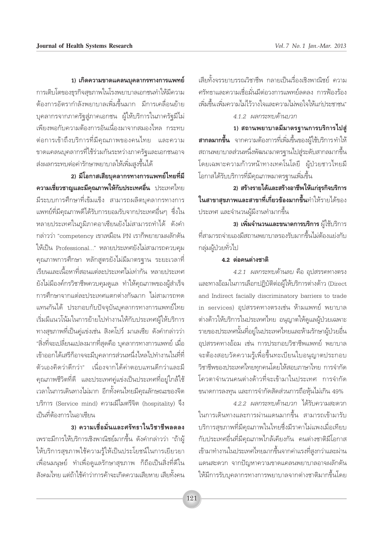เสียทั้งจรรยาบรรณวิชาชีพ กลายเป็นเรื่องเชิงพาณิชย์ ความ ิศรัทธาและความเชื่อมั่นมีต่อวงการแพทย์ลดลง การฟ้องร้อง เพิ่มขึ้นเพิ่มความไม่ไว้วางใจและความไม่พอใจให้แก่ประชาชน" 4.1.2 ผลกระทบด้านบวก

1) สถานพยาบาลมีมาตรฐานการบริการไปสู่ **สากลมากขึ้น** จากความต้องการที่เพิ่มขึ้นของผู้ใช้บริการทำให้ ิสถานพยาบาลส่วนหนึ่งพัฒนามาตรจานไปสู่ระดับสากลมากขึ้น โดยเฉพาะความก้าวหน้าทางเทคโนโลยี ผู้ป่วยชาวไทยมี โอกาสได้รับบริการที่มีคุณภาพมาตรจานเพิ่มขึ้น

2) สร้างรายได้และสร้างอาชีพให้แก่ธุรกิจบริการ **ในสาขาสุขภาพและสาขาที่เกี่ยวข้องมากขึ้น**ทำให้รายได้ของ ประเทศ และจำนวนผู้มีงานทำมากขึ้น

3) เพิ่มจำนวนและขนาดการบริการ ผู้ใช้บริการ ที่สามารถจ่ายเองมีสถานพยาบาลรองรับมากขึ้นไม่ต้องแย่งกับ กลุ่มผู้ป่วยทั่วไป

#### 4.2 ต่อคนต่างชาติ

4.2.1 ผลกระทบด้านลบ คือ อุปสรรคทางตรง และทางอ้อมในการเลือกปฏิบัติต่อผู้ให้บริการต่างด้าว (Direct and Indirect facially discriminatory barriers to trade in services) อุปสรรคทางตรงเช่น ห้ามแพทย์ พยาบาล ต่างด้าวให้บริการในประเทศไทย อนุญาตให้ดูแลผู้ป่วยเฉพาะ รายของประเทศนั้นที่อยู่ในประเทศไทยและห้ามรักษาผู้ป่วยอื่น อุปสรรคทางอ้อม เช่น การประกอบวิชาชีพแพทย์ พยาบาล จะต้องสอบวัดความรู้เพื่อขึ้นทะเบียนใบอนุญาตประกอบ วิชาชีพของประเทศไทยทุกคนโดยให้สอบภาษาไทย การจำกัด โควตาจำนวนคนต่างด้าวที่จะเข้ามาในประเทศ การจำกัด ขนาดการลงทุน และการจำกัดสัดส่วนการถือหุ้นไม่เกิน 49%

4.2.2 ผลกระทบด้านบวก ได้รับความสะดวก ในการเดินทางและการผ่านแดนมากขึ้น สามารถเข้ามารับ บริการสุขภาพที่มีคุณภาพในไทยซึ่งมีราคาไม่แพงเมื่อเทียบ ้กับประเทศอื่นที่มีคุณภาพไกล้เคียงกัน คนต่างชาติมีโอกาส เข้ามาทำงานในประเทศไทยมากขึ้นจากค่าแรงที่สงกว่าและผ่าน แดนสะดวก จากปัญหาความขาดแคลนพยาบาลอาจผลักดัน ให้มีการรับบุคลากรทางการพยาบาลจากต่างชาติมากขึ้นโดย

1) เกิดความขาดแคลนบุคลากรทางการแพทย์ การเติบโตของธุรกิจสุขภาพในโรงพยาบาลเอกชนทำให้มีความ ้ต้องการอัตรากำลังพยาบาลเพิ่มขึ้นมาก มีการเคลื่อนย้าย บุคลากรจากภาครัฐสู่ภาคเอกชน ผู้ให้บริการในภาครัฐมีไม่ เพียงพอกับความต้องการอันเนื่องมาจากสมองไหล กระทบ ต่อการเข้าถึงบริการที่มีคุณภาพของคนไทย และความ ขาดแคลนบุคลากรที่ใช้ร่วมกันระหว่างภาครัฐและเอกชนอาจ ส่งผลกระทบต่อค่ารักษาพยาบาลให้เพิ่มสูงขึ้นได้

2) มีโอกาสเสียบุคลากรทางการแพทย์ไทยที่มี ความเชี่ยวชาญและมีคุณภาพให้กับประเทศอื่น ประเทศไทย ้มีระบบการศึกษาที่เข้มแข็ง สามารถผลิตบุคลากรทางการ แพทย์ที่มีคุณภาพดีได้รับการยอมรับจากประเทศอื่นๆ ซึ่งใน หลายประเทศในภูมิภาคอาเซียนยังไม่สามารถทำได้ ดังคำ กล่าวว่า "competency เขาเหมือน PN เราก็พยายามผลักดัน ให้เป็น Professional..." หลายประเทศยังไม่สามารถควบคุม ้คุณภาพการศึกษา หลักสูตรยังไม่มีมาตรฐาน ระยะเวลาที่ เรียนและเนื้อหาที่สอนแต่ละประเทศไม่เท่ากัน หลายประเทศ ยังไม่มีองค์กรวิชาชีพควบคุมดูแล ทำให้คุณภาพของผู้สำเร็จ การศึกษาจากแต่ละประเทศแตกต่างกันมาก ไม่สามารถทด แทนกันได้ ประกอบกับปัจจุบันบุคลากรทางการแพทย์ไทย เริ่มมีแนวโน้มในการย้ายไปทำงานให้กับประเทศผู้ให้บริการ ทางสุขภาพที่เป็นคู่แข่งเช่น สิงคโปร์ มาเลเซีย ดังคำกล่าวว่า "สิ่งที่จะเปลี่ยนแปลงมากที่สุดคือ บุคลากรทางการแพทย์ เมื่อ เข้าออกได้เสรีก็อาจจะมีบุคลากรส่วนหนึ่งไหลไปทำงานในที่ที่ ้ตัวเองคิดว่าดีกว่า" เนื่องจากได้ค่าตอบแทนดีกว่าและมี คุณภาพชีวิตที่ดี และประเทศคู่แข่งเป็นประเทศที่อยู่ใกล้ใช้ เวลาในการเดินทางไม่มาก อีกทั้งคนไทยมีคุณลักษณะของจิต บริการ (Service mind) ความมีไมตรีจิต (hospitality) จึง เป็นที่ต้องการในอาเซียน

3) ความเชื่อมั่นและศรัทธาในวิชาชีพลดลง เพราะมีการให้บริการเชิงพาณิชย์มากขึ้น ดังคำกล่าวว่า "ถ้าผู้ ให้บริการสุขภาพใช้ความรู้ให้เป็นประโยชน์ในการเยี่ยวยา ้เพื่อนมนุษย์ ทำเพื่อดูแลรักษาสุขภาพ ก็ถือเป็นสิ่งที่ดีใน สังคมไทย แต่ถ้าใช้คำว่าการค้าจะเกิดความเสียหาย เสียทั้งคน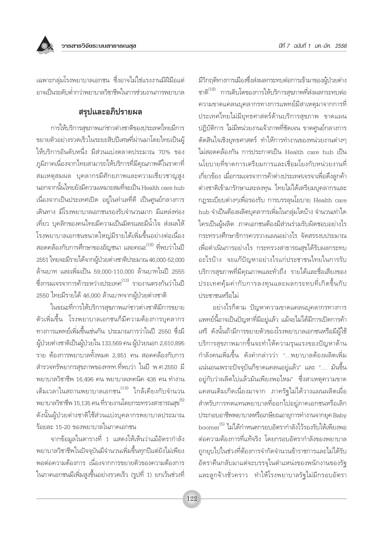มีวิกฤติทางการเมืองซึ่งส่งผลกระทบต่อการเข้ามาของผู้ป่วยต่าง ชาติ<sup>(18)</sup> การเติบโตของการให้บริการสุขภาพที่ส่งผลกระทบต่อ ิความขาดแคลนบคลากรทางการแพทย์มีสาเหตมาจากการที่ ประเทศไทยไม่มียุทธศาสตร์ด้านบริการสุขภาพ ขาดแผน ปฏิบัติการ ไม่มีหน่วยงานเจ้าภาพที่ชัดเจน ขาดศูนย์กลางการ ตัดสินใจเชิงยุทธศาสตร์ ทำให้การทำงานของหน่วยงานต่างๆ ไม่สอดคล้องกัน การประกาศเป็น Health care hub เป็น นโยบายที่ขาดการเตรียมการและเชื่อมโยงกับหน่วยงานที่ เกี่ยวข้อง เมื่อกรมเจรจาการค้าต่างประเทศเจรจาเพื่อดึงลูกค้า ต่างชาติเข้ามารักษาและลงทุน ไทยไม่ได้เตรียมบุคลากรและ กฏระเบียบต่างๆเพื่อรองรับ การบรรลุนโยบาย Health care hub จำเป็นต้องผลิตบุคลากรเพิ่มในกลุ่มใดบ้าง จำนวนเท่าใด ใครเป็นผู้ผลิต ภาคเอกชนต้องมีส่วนร่วมรับผิดชอบอย่างไร กระทรวงศึกษาธิการควรวางแผนอย่างไร จัดสรรงบประมาณ เพื่อดำเนินการอย่างไร กระทรวงสาธารณสุขได้รับผลกระทบ อะไรบ้าง จะแก้ปัญหาอย่างไรแก่ประชาชนไทยในการรับ บริการสุขภาพที่มีคุณภาพและทั่วถึง รายได้และชื่อเสียงของ ประเทศคุ้มค่ากับการลงทุนและผลกระทบที่เกิดขึ้นกับ <u> 1 |ระชาชนหรือไม่</u>

้อย่างไรก็ตาม ปัญหาความขาดแคลนบุคลากรทางการ แพทย์นี้อาจเป็นปัญหาที่มีอยู่แล้ว แม้จะไม่ได้มีการเปิดการค้า เสรี ดังนั้นถ้ามีการขยายตัวของโรงพยาบาลเอกชนหรือมีผู้ใช้ ้<br>บริการสุขภาพมากขึ้นจะทำให้ความรุนแรงของปัญหาด้าน กำลังคนเพิ่มขึ้น ดังคำกล่าวว่า "...พยาบาลต้องผลิตเพิ่ม ้แน่นอนเพราะปัจจุบันก็ขาดแคลนอยู่แล้ว" และ ".... มันขึ้น ้อยู่กับว่าผลิตไปแล้วมันเพียงพอไหม" ซึ่งสาเหตุความขาด ้แคลนเดิมเกิดเนื่องมาจาก ภาครัฐไม่ได้วางแผนผลิตเผื่อ สำหรับการทดแทนพยาบาลที่ออกไปอยู่ภาคเอกชนหรือเลิก ประกอบอาชีพพยาบาลหรือเกษียณอายุการทำงานจากยุค Baby boomer <sup>(5)</sup> ไม่ได้กำหนดกรอบอัตรากำลังไว้รองรับให้เพียงพอ ต่อความต้องการที่แท้จริง โดยกรอบอัตรากำลังของพยาบาล ถูกยุบไปในช่วงที่ต้องการจำกัดจำนวนข้าราชการและไม่ได้รับ อัตราคืนกลับมาแต่จะบรรจุในตำแหน่งของพนักงานของรัฐ และลูกจ้างชั่วคราว ทำให้โรงพยาบาลรัฐไม่มีกรอบอัตรา

้เฉพาะกลุ่มโรงพยาบาลเอกชน ซึ่งอาจไม่ใช่แรงงานมีฝีมือแต่ อาจเป็นระดับต่ำกว่าพยาบาลวิชาชีพในการช่วยงานการพยาบาล

## สรปและอภิปรายผล

การให้บริการสุขภาพแก่ชาวต่างชาติของประเทศไทยมีการ ขยายตัวอย่างรวดเร็วในระยะสิบปีเศษที่ผ่านมาโดยไทยเป็นผู้ ให้บริการอันดับหนึ่ง มีส่วนแบ่งตลาดประมาณ 70% ของ ภูมิภาคเนื่องจากไทยสามารถให้บริการที่มีคุณภาพดีในราคาที่ ิสมเหตุสมผล บุคลากรมีศักยภาพและความเชี่ยวชาญสูง นอกจากนั้นไทยยังมีความเหมาะสมที่จะเป็น Health care hub เนื่องจากเป็นประเทศเปิด อยู่ในทำเลที่ดี เป็นศูนย์กลางการ เดินทาง มีโรงพยาบาลเอกชนรองรับจำนวนมาก มีแหล่งท่อง เที่ยว บุคลิกของคนไทยมีความเป็นมิตรและมีน้ำใจ ส่งผลให้ โรงพยาบาลเอกชนขนาดใหญ่มีรายได้เพิ่มขึ้นอย่างต่อเนื่อง ิสอดคล้องกับการศึกษาของอัญชนา และคณะ<sup>(18)</sup> ที่พบว่าในปี 2551 ไทยจะมีรายได้จากผู้ป่วยต่างชาติประมาณ 46,000-52,000 ้ล้านบาท และเพิ่มเป็น 59,000-110,000 ล้านบาทในปี 2555 ซึ่งกรมเจรจาการค้าระหว่างประเทศ<sup>(13)</sup> รายงานตรงกันว่าในปี 2550 ไทยมีรายได้ 46,000 ล้านบาทจากผู้ป่วยต่างชาติ

ในขณะที่การให้บริการสุขภาพแก่ชาวต่างชาติมีการขยาย ตัวเพิ่มขึ้น โรงพยาบาลเอกชนก็มีความต้องการบุคลากร ทางการแพทย์เพิ่มขึ้นเช่นกัน ประมาณการว่าในปี 2550 ซึ่งมี ผู้ป่วยต่างชาติเป็นผู้ป่วยใน 133,569 คน ผู้ป่วยนอก 2,610,895 ี ราย ต้องการพยาบาลทั้งหมด 2.851 คน สอดคล้องกับการ ้สำรวจทรัพยากรสุขภาพของททท.ที่พบว่า ในปี พ.ศ.2550 มี พยาบาลวิชาชีพ 16,496 คน พยาบาลเทคนิค 436 คน ทำงาน ้เต็มเวลาในสถานพยาบาลเอกชน<sup>(19)</sup> ใกล้เคียงกับจำนวน พยาบาลวิชาชีพ 15,135 คน ที่รายงานโดยกระทรวงสาธารณสุข<sup>(5)</sup> ดังนั้นผู้ป่วยต่างชาติใช้ส่วนแบ่งบุคลากรพยาบาลประมาณ ร้อยละ 15-20 ของพยาบาลในภาคเอกชน

จากข้อมูลในตารางที่ 1 แสดงให้เห็นว่าแม้อัตรากำลัง ้ พยาบาลวิชาชีพในปัจจุบันมีจำนวนเพิ่มขึ้นทุกปีแต่ยังไม่เพียง ้พอต่อความต้องการ เนื่องจากการขยายตัวของความต้องการ ในภาคเอกชนมีเพิ่มสูงขึ้นอย่างรวดเร็ว (รูปที่ 1) ยกเว้นช่วงที่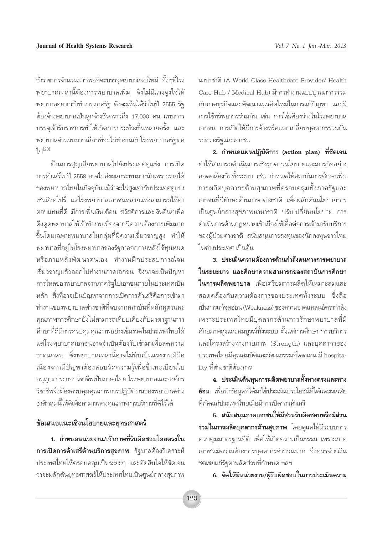ข้าราชการจำนวนมากพอที่จะบรรจุพยาบาลจบใหม่ ทั้งๆที่โรง พยาบาลเหล่านี้ต้องการพยาบาลเพิ่ม จึงไม่มีแรงจูงใจให้ พยาบาลอยากเข้าทำงานภาครัฐ ดังจะเห็นได้ว่าในปี 2555 รัฐ ์ต้องจ้างพยาบาลเป็นลูกจ้างชั่วคราวถึง 17,000 คน แทนการ บรรจุเข้ารับราชการทำให้เกิดการประท้วงขึ้นหลายครั้ง และ ้พยาบาลจำนวนมากเลือกที่จะไม่ทำงานกับโรงพยาบาลรัฐต่อ  $y_{9}^{(20)}$ 

้ด้านการสูญเสียพยาบาลไปยังประเทศคู่แข่ง การเปิด การค้าเสรีในปี 2558 อาจไม่ส่งผลกระทบมากนักเพราะรายได้ ของพยาบาลไทยในปัจจุบันแม้ว่าจะไม่สูงเท่ากับประเทศคู่แข่ง ้เช่นสิงคโปร์ แต่โรงพยาบาลเอกชนหลายแห่งสามารถให้ค่า ตอบแทนที่ดี มีการเพิ่มเงินเดือน สวัสดิการและเงินอื่นๆเพื่อ ดึงดูดพยาบาลให้เข้าทำงานเนื่องจากมีความต้องการเพิ่มมาก ขึ้นโดยเฉพาะพยาบาลในกลุ่มที่มีความเชี่ยวชาญสูง ทำให้ ิพยาบาลที่อยู่ในโรงพยาบาลของรัฐลาออกภายหลังใช้ทุนหมด หรือภายหลังพัฒนาตนเอง ทำงานฝึกประสบการณ์จน เชี่ยวชาญแล้วออกไปทำงานภาคเอกชน จึงน่าจะเป็นปัญหา การไหลของพยาบาลจากภาครัฐไปเอกชนภายในประเทศเป็น หลัก สิ่งที่อาจเป็นปัญหาจากการเปิดการค้าเสรีคือการเข้ามา ทำงานของพยาบาลต่างชาติที่จบจากสถาบันที่หลักสูตรและ ้คุณภาพการศึกษายังไม่สามารถเทียบเคียงกับมาตรฐานการ ศึกษาที่ดีมีการควบคุมคุณภาพอย่างเข้มงวดในประเทศไทยได้ แต่โรงพยาบาลเอกชนอาจจำเป็นต้องรับเข้ามาเพื่อลดความ ขาดแคลน ซึ่งพยาบาลเหล่านี้อาจไม่นับเป็นแรงงานฝีมือ เนื่องจากมีปัญหาต้องสอบวัดความรู้เพื่อขึ้นทะเบียนใบ อนุญาตประกอบวิชาชีพเป็นภาษาไทย โรงพยาบาลและองค์กร วิชาชีพจึงต้องควบคุมคุณภาพการปฏิบัติงานของพยาบาลต่าง ชาติกลุ่มนี้ให้ดีเพื่อสามารถคงคุณภาพการบริการที่ดีไว้ได้

#### ข้อเสนอแนะเชิงนโยบายและยุทธศาสตร์

1. กำหนดหน่วยงาน/เจ้าภาพที่รับผิดชอบโดยตรงใน การเปิดการค้าเสรีด้านบริการสุขภาพ รัฐบาลต้องวิเคราะห์ ประเทศไทยให้ครอบคลุมเป็นระยะๆ และตัดสินใจให้ชัดเจน ว่าจะผลักดันยุทธศาสตร์ให้ประเทศไทยเป็นศูนย์กลางสุขภาพ นานาชาติ (A World Class Healthcare Provider/ Health Care Hub / Medical Hub) มีการทำงานแบบบูรณาการร่วม ้กับภาคธุรกิจและพัฒนาแนวคิดใหม่ในการแก้ปัญหา และมี การใช้ทรัพยากรร่วมกัน เช่น การใช้เตียงว่างในโรงพยาบาล เอกชน การเปิดให้มีการจ้างหรือแลกเปลี่ยนบุคลากรร่วมกัน ระหว่างรัฐและเอกชน

2. กำหนดแผนปฏิบัติการ (action plan) ที่ชัดเจน ทำให้สามารถดำเนินการเชิงรุกตามนโยบายและภารกิจอย่าง สอดคล้องกันทั้งระบบ เช่น กำหนดให้สถาบันการศึกษาเพิ่ม การผลิตบุคลากรด้านสุขภาพที่ครอบคลุมทั้งภาครัฐและ เอกชนที่มีทักษะด้านภาษาต่างชาติ เพื่อผลักดันนโยบายการ เป็นศูนย์กลางสุขภาพนานาชาติ ปรับเปลี่ยนนโยบาย การ ดำเนินการด้านกฏหมายเข้าเมืองให้เอื้อต่อการเข้ามารับบริการ ของผู้ป่วยต่างชาติ สนับสนุนการลงทุนของนักลงทุนชาวไทย ในต่างประเทศ เป็นต้น

่ 3 ประเมินความต้องการด้านกำลังคนทางการพยาบาล ในระยะยาว และศึกษาความสามารถของสถาบันการศึกษา **ในการผลิตพยาบาล** เพื่อเตรียมการผลิตให้เหมาะสมและ สอดคล้องกับความต้องการของประเทศทั้งระบบ ซึ่งถือ เป็นการแก้จุดอ่อน (Weakness) ของความขาดแคลนอัตรากำลัง เพราะประเทศไทยมีบุคลากรด้านการรักษาพยาบาลที่มี ์ศักยภาพสูงและสมบูรณ์ทั้งระบบ ตั้งแต่การศึกษา การบริการ และโครงสร้างทางกายภาพ (Strength) และบุคลากรของ ประเทศไทยมีคุณสมบัติและวัฒนธรรมที่โดดเด่น มี hospitality ที่ต่างชาติต้องการ

4. ประเมินต้นทุนการผลิตพยาบาลทั้งทางตรงและทาง **อ้อม** เพื่อนำข้อมูลที่ได้มาใช้ประเมินประโยชน์ที่ได้และผลเสีย ที่เกิดแก่ประเทศไทยเมื่อมีการเปิดการค้าเสรี

5. สนับสนุนภาคเอกชนให้มีส่วนรับผิดชอบหรือมีส่วน **ร่วมในการผลิตบุคลากรด้านสุขภาพ** โดยดูแลให้มีระบบการ ควบคุมมาตรฐานที่ดี เพื่อให้เกิดความเป็นธรรม เพราะภาค เอกชนมีความต้องการบุคลากรจำนวนมาก จึงควรจ่ายเงิน ชดเชยแก่รัฐตามสัดส่วนที่กำหนด ฯลฯ

6. จัดให้มีหน่วยงาน/ผู้รับผิดชอบในการประเมินความ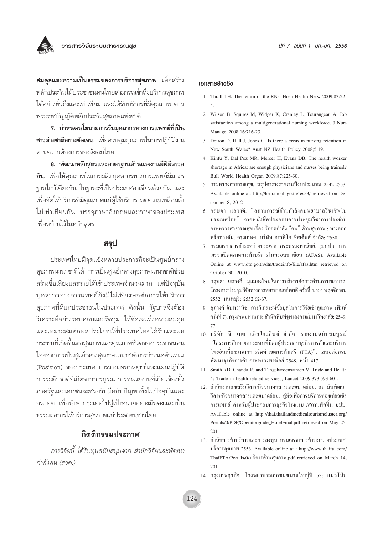**สมดุลและความเป็นธรรมของการบริการสุขภาพ** เพื่อสร้าง หลักประกันให้ประชาชนคนไทยสามารถเข้าถึงบริการสุขภาพ ได้อย่างทั่วถึงและเท่าเทียม และได้รับบริการที่มีคุณภาพ ตาม พระราชบัญญัติหลักประกันสุขภาพแห่งชาติ

7. กำหนดนโยบายการรับบุคลากรทางการแพทย์ที่เป็น **ชาวต่างชาติอย่างชัดเจน** เพื่อควบคุมคุณภาพในการปฏิบัติงาน ตามความต้องการของสังคมไทย

8. พัฒนาหลักสูตรและมาตรฐานด้านแรงงานมีฝีมือร่วม **กัน** เพื่อให้คุณภาพในการผลิตบุคลากรทางการแพทย์มีมาตร ฐานไกล้เคียงกัน ในฐานะที่เป็นประเทศอาเซียนด้วยกัน และ เพื่อจัดให้บริการที่มีคุณภาพแก่ผู้ใช้บริการ ลดความเหลื่อมล้ำ ไม่เท่าเทียมกัน บรรจุภาษาอังกฤษและภาษาของประเทศ เพื่อนบ้านไว้ในหลักสูตร

#### สรุป

ประเทศไทยมีจุดแข็งหลายประการที่จะเป็นศูนย์กลาง สุขภาพนานาชาติได้ การเป็นศูนย์กลางสุขภาพนานาชาติช่วย สร้างชื่อเสียงและรายได้เข้าประเทศจำนวนมาก แต่ปัจจุบัน บุคลากรทางการแพทย์ยังมีไม่เพียงพอต่อการให้บริการ สุขภาพที่ดีแก่ประชาชนในประเทศ ดังนั้น รัฐบาลจึงต้อง วิเคราะห์อย่างรอบคอบและรัดกุม ให้ชัดเจนถึงความสมดุล และเหมาะสมต่อผลประโยชน์ที่ประเทศไทยได้รับและผล กระทบที่เกิดขึ้นต่อสุขภาพและคุณภาพชีวิตของประชาชนคน ไทยจากการเป็นศูนย์กลางสุขภาพนานาชาติการกำหนดตำแหน่ง (Position) ของประเทศ การวางแผนกลยุทธ์์และแผนปฏิบัติ การระดับชาติที่เกิดจากการบูรณาการหน่วยงานที่เกี่ยวข้องทั้ง ภาครัฐและเอกชนจะช่วยรับมือกับปัญหาทั้งในปัจจุบันและ ้อนาคต เพื่อนำพาประเทศไปสู่เป้าหมายอย่างมั่นคงและเป็น ธรรมต่อการให้บริการสุขภาพแก่ประชาชนชาวไทย

## กิตติกรรมประกาศ

การวิจัยนี้ ได้รับทุนสนับสนุนจาก สำนักวิจัยและพัฒนา กำลังคน (สวค.)

#### เอกสารอ้างอิง

- 1. Thrall TH. The return of the RNs. Hosp Health Netw 2009:83:22- $\overline{4}$
- 2. Wilson B, Squires M, Widger K, Cranley L, Tourangeau A. Job satisfaction among a multigenerational nursing workforce. J Nurs Manage 2008;16:716-23.
- 3. Doiron D, Hall J, Jones G. Is there a crisis in nursing retention in New South Wales? Aust NZ Health Policy 2008;5:19.
- 4. Kinfu Y, Dal Poz MR, Mercer H, Evans DB. The health worker shortage in Africa: are enough physicians and nurses being trained? Bull World Health Organ 2009;87:225-30.
- 5. กระทรวงสาธารณสุข. สรุปตารางรายงานปีงบประมาณ 2542-2553. Available online at: http://hrm.moph.go.th/res53/ retrieved on December 8, 2012
- 6. กถนดา แสวงดี. "สถานการณ์ด้านกำลังคนพยาบาลวิชาชีพใน ประเทศไทย" จากหนังสือประกอบการประขมวิชาการประจำปี ึกระทรวงสาธารณสุข เรื่อง วิกฤตกำลัง "คน" ด้านสุขภาพ : ทางออก หรือทางตัน, กรงเทพฯ: บริษัท กราฟิโก ซีสเต็มส์ จำกัด: 2550.
- 7. กรมเจรจาการค้าระหว่างประเทศ กระทรวงพาณิชย์. (มปป.). การ เจรจาเปิดตลาดการค้าบริการในกรอบอาเซียน (AFAS). Available Online at www.dtn.go.th/dtn/tradeinfo/file/afas.htm retrieved on October 30, 2010.
- 8. กฤษดา แสวงดี. มุมมองใหม่ในการบริหารจัดการค้านการพยาบาล. โครงการประชมวิจัยทางการพยาบาลแห่งชาติ ครั้งที่ 4. 2-4 พฤศจิกายน 2552. นนทบุรี: 2552;62-67.
- 9. สุภางค์ จันทวานิช. การวิเคราะห์ข้อมูลในการวิจัยเชิงคุณภาพ (พิมพ์ ครั้งที่ 7). กรุงเทพมหานคร: สำนักพิมพ์จุฬาลงกรณ์มหาวิทยาลัย; 2549;
- 10. บริษัท จี. เบซ แอ็ลไลแอ็นซ์ จำกัด. รายงานฉบับสมบูรณ์ "โครงการศึกษาผลกระทบที่มีต่อผู้ประกอบฐรกิจการค้าและบริการ ไทยอันเนื่องมาจากการจัดทำเขตการค้าเสรี (FTA)". เสนอต่อกรม พัฒนาธุรกิจการค้า กระทรวงพาณิชย์ 2548. หน้า 417.
- 11. Smith RD. Chanda R. and Tangcharoensathien V. Trade and Health 4: Trade in health-related services, Lancet 2009;373:593-601.
- 12. สำนักงานส่งเสริมวิสาหกิจขนาดกลางและขนาดย่อม, สถาบันพัฒนา วิสาหกิจขนาดกลางและขนาดย่อม. ค่มือเพื่อการบริการท่องเที่ยวเชิง การแพทย์ สำหรับผู้ประกอบการธุรกิจโรงแรม /สถานพักฟื้น มปป. Available online at http://thai.thailandmedicaltourismcluster.org/ Portals/0/PDF/Operatorguide\_HotelFinal.pdf retrieved on May 25, 2011.
- 13. สำนักการค้าบริการและการลงทุน กรมเจรจาการค้าระหว่างประเทศ. บริการสุขภาพ 2553. Available online at : http://www.thaifta.com/ ThaiFTA/Portals/0/บริการค้านสุขภาพ.pdf retrieved on March 14,  $2011.$
- 14. กรุงเทพธุรกิจ. โรงพยาบาลเอกชนขนาดใหญ่ปี 53: แนวโน้ม